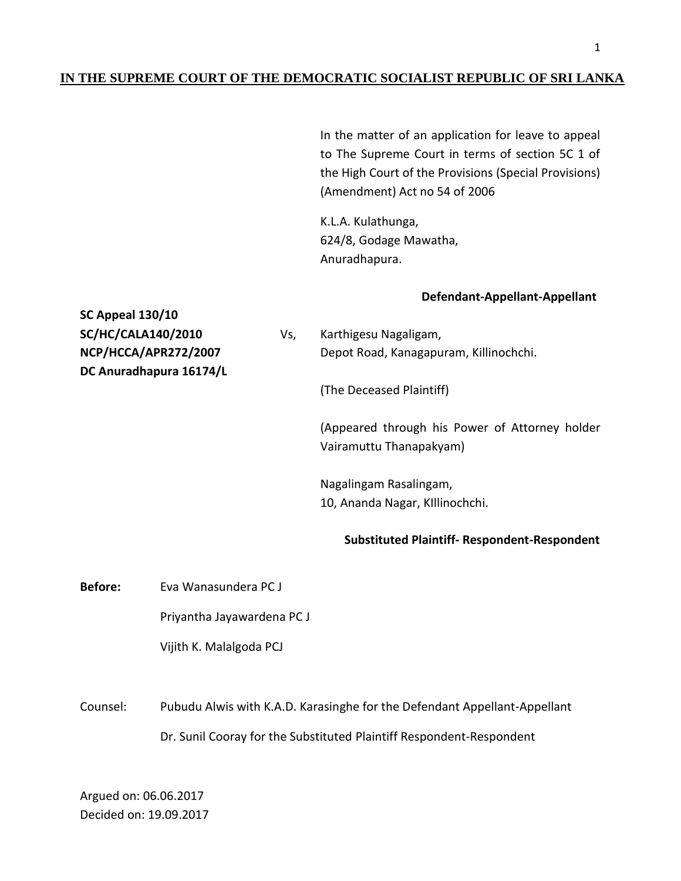## **IN THE SUPREME COURT OF THE DEMOCRATIC SOCIALIST REPUBLIC OF SRI LANKA**

In the matter of an application for leave to appeal to The Supreme Court in terms of section 5C 1 of the High Court of the Provisions (Special Provisions) (Amendment) Act no 54 of 2006

K.L.A. Kulathunga, 624/8, Godage Mawatha, Anuradhapura.

## **Defendant-Appellant-Appellant**

**SC Appeal 130/10 SC/HC/CALA140/2010** Vs, Karthigesu Nagaligam, **NCP/HCCA/APR272/2007** Depot Road, Kanagapuram, Killinochchi. **DC Anuradhapura 16174/L** (The Deceased Plaintiff) (Appeared through his Power of Attorney holder Vairamuttu Thanapakyam) Nagalingam Rasalingam, 10, Ananda Nagar, KIllinochchi. **Substituted Plaintiff- Respondent-Respondent**

**Before:** Eva Wanasundera PC J

Priyantha Jayawardena PC J

Vijith K. Malalgoda PCJ

Counsel: Pubudu Alwis with K.A.D. Karasinghe for the Defendant Appellant-Appellant Dr. Sunil Cooray for the Substituted Plaintiff Respondent-Respondent

Argued on: 06.06.2017 Decided on: 19.09.2017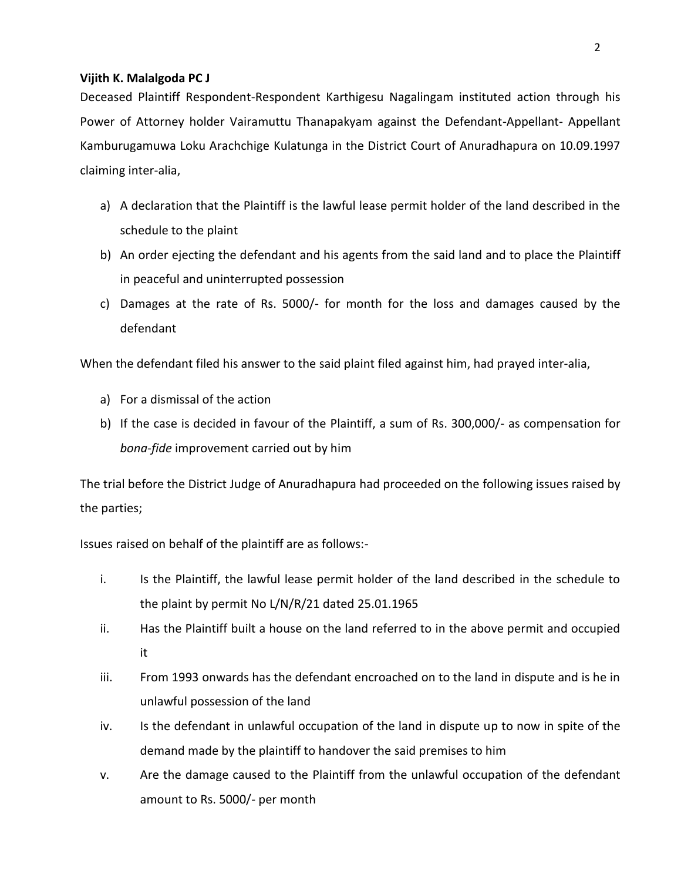## **Vijith K. Malalgoda PC J**

Deceased Plaintiff Respondent-Respondent Karthigesu Nagalingam instituted action through his Power of Attorney holder Vairamuttu Thanapakyam against the Defendant-Appellant- Appellant Kamburugamuwa Loku Arachchige Kulatunga in the District Court of Anuradhapura on 10.09.1997 claiming inter-alia,

- a) A declaration that the Plaintiff is the lawful lease permit holder of the land described in the schedule to the plaint
- b) An order ejecting the defendant and his agents from the said land and to place the Plaintiff in peaceful and uninterrupted possession
- c) Damages at the rate of Rs. 5000/- for month for the loss and damages caused by the defendant

When the defendant filed his answer to the said plaint filed against him, had prayed inter-alia,

- a) For a dismissal of the action
- b) If the case is decided in favour of the Plaintiff, a sum of Rs. 300,000/- as compensation for *bona-fide* improvement carried out by him

The trial before the District Judge of Anuradhapura had proceeded on the following issues raised by the parties;

Issues raised on behalf of the plaintiff are as follows:-

- i. Is the Plaintiff, the lawful lease permit holder of the land described in the schedule to the plaint by permit No L/N/R/21 dated 25.01.1965
- ii. Has the Plaintiff built a house on the land referred to in the above permit and occupied it
- iii. From 1993 onwards has the defendant encroached on to the land in dispute and is he in unlawful possession of the land
- iv. Is the defendant in unlawful occupation of the land in dispute up to now in spite of the demand made by the plaintiff to handover the said premises to him
- v. Are the damage caused to the Plaintiff from the unlawful occupation of the defendant amount to Rs. 5000/- per month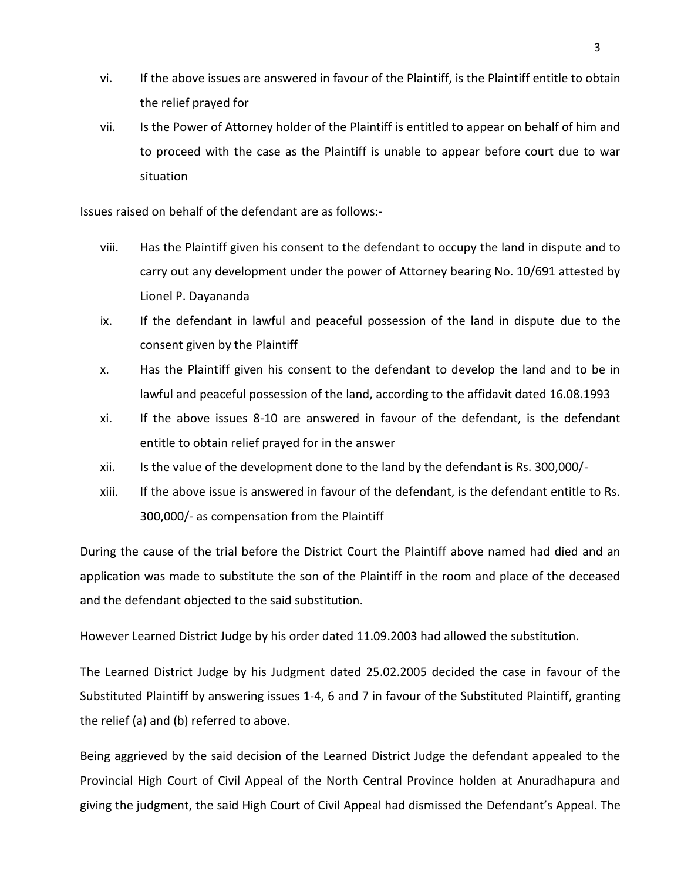- vi. If the above issues are answered in favour of the Plaintiff, is the Plaintiff entitle to obtain the relief prayed for
- vii. Is the Power of Attorney holder of the Plaintiff is entitled to appear on behalf of him and to proceed with the case as the Plaintiff is unable to appear before court due to war situation

Issues raised on behalf of the defendant are as follows:-

- viii. Has the Plaintiff given his consent to the defendant to occupy the land in dispute and to carry out any development under the power of Attorney bearing No. 10/691 attested by Lionel P. Dayananda
- ix. If the defendant in lawful and peaceful possession of the land in dispute due to the consent given by the Plaintiff
- x. Has the Plaintiff given his consent to the defendant to develop the land and to be in lawful and peaceful possession of the land, according to the affidavit dated 16.08.1993
- xi. If the above issues 8-10 are answered in favour of the defendant, is the defendant entitle to obtain relief prayed for in the answer
- xii. Is the value of the development done to the land by the defendant is Rs. 300,000/-
- xiii. If the above issue is answered in favour of the defendant, is the defendant entitle to Rs. 300,000/- as compensation from the Plaintiff

During the cause of the trial before the District Court the Plaintiff above named had died and an application was made to substitute the son of the Plaintiff in the room and place of the deceased and the defendant objected to the said substitution.

However Learned District Judge by his order dated 11.09.2003 had allowed the substitution.

The Learned District Judge by his Judgment dated 25.02.2005 decided the case in favour of the Substituted Plaintiff by answering issues 1-4, 6 and 7 in favour of the Substituted Plaintiff, granting the relief (a) and (b) referred to above.

Being aggrieved by the said decision of the Learned District Judge the defendant appealed to the Provincial High Court of Civil Appeal of the North Central Province holden at Anuradhapura and giving the judgment, the said High Court of Civil Appeal had dismissed the Defendant's Appeal. The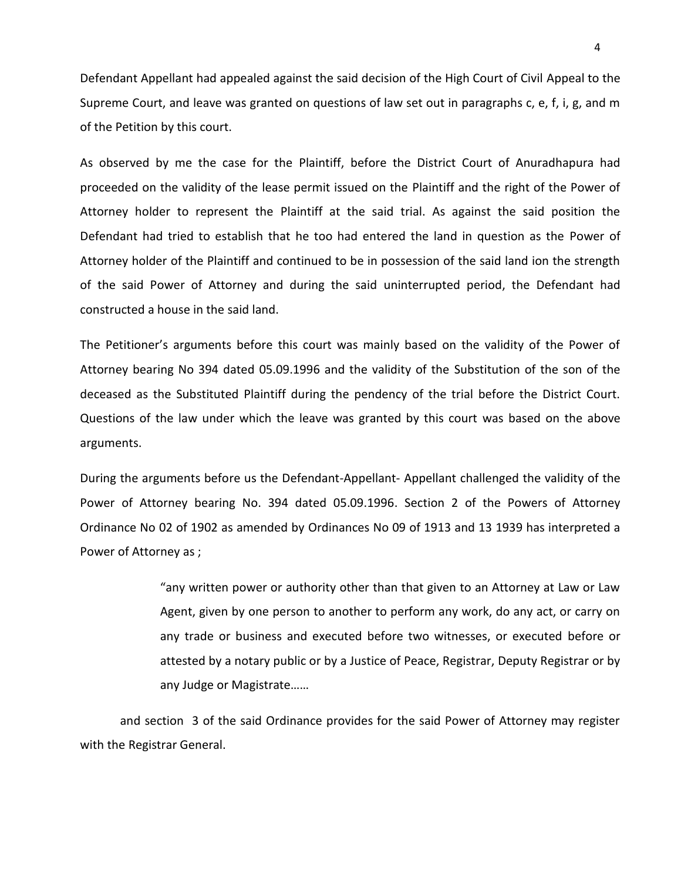Defendant Appellant had appealed against the said decision of the High Court of Civil Appeal to the Supreme Court, and leave was granted on questions of law set out in paragraphs c, e, f, i, g, and m of the Petition by this court.

As observed by me the case for the Plaintiff, before the District Court of Anuradhapura had proceeded on the validity of the lease permit issued on the Plaintiff and the right of the Power of Attorney holder to represent the Plaintiff at the said trial. As against the said position the Defendant had tried to establish that he too had entered the land in question as the Power of Attorney holder of the Plaintiff and continued to be in possession of the said land ion the strength of the said Power of Attorney and during the said uninterrupted period, the Defendant had constructed a house in the said land.

The Petitioner's arguments before this court was mainly based on the validity of the Power of Attorney bearing No 394 dated 05.09.1996 and the validity of the Substitution of the son of the deceased as the Substituted Plaintiff during the pendency of the trial before the District Court. Questions of the law under which the leave was granted by this court was based on the above arguments.

During the arguments before us the Defendant-Appellant- Appellant challenged the validity of the Power of Attorney bearing No. 394 dated 05.09.1996. Section 2 of the Powers of Attorney Ordinance No 02 of 1902 as amended by Ordinances No 09 of 1913 and 13 1939 has interpreted a Power of Attorney as ;

> "any written power or authority other than that given to an Attorney at Law or Law Agent, given by one person to another to perform any work, do any act, or carry on any trade or business and executed before two witnesses, or executed before or attested by a notary public or by a Justice of Peace, Registrar, Deputy Registrar or by any Judge or Magistrate……

and section 3 of the said Ordinance provides for the said Power of Attorney may register with the Registrar General.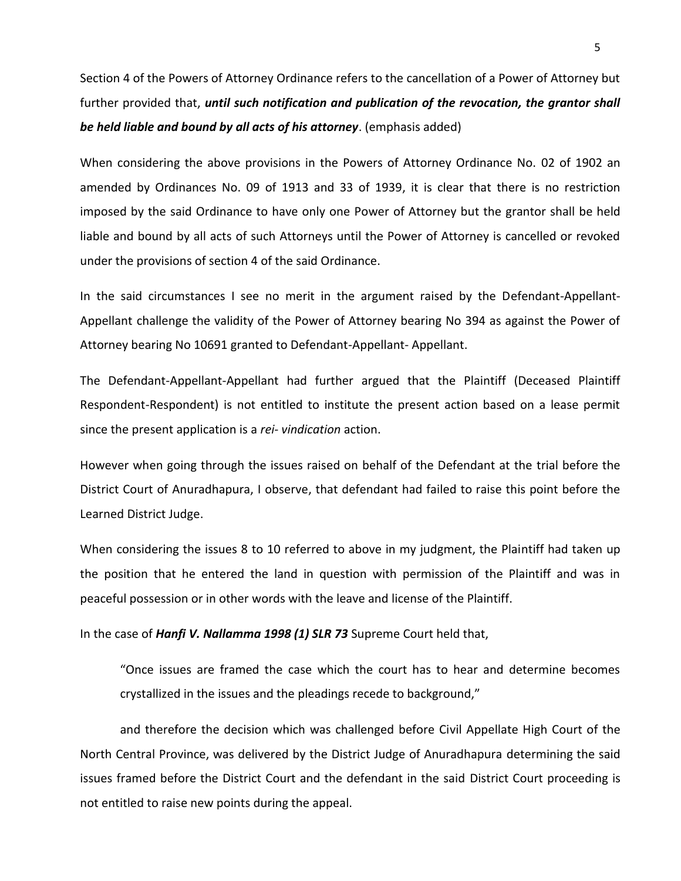Section 4 of the Powers of Attorney Ordinance refers to the cancellation of a Power of Attorney but further provided that, *until such notification and publication of the revocation, the grantor shall be held liable and bound by all acts of his attorney*. (emphasis added)

When considering the above provisions in the Powers of Attorney Ordinance No. 02 of 1902 an amended by Ordinances No. 09 of 1913 and 33 of 1939, it is clear that there is no restriction imposed by the said Ordinance to have only one Power of Attorney but the grantor shall be held liable and bound by all acts of such Attorneys until the Power of Attorney is cancelled or revoked under the provisions of section 4 of the said Ordinance.

In the said circumstances I see no merit in the argument raised by the Defendant-Appellant-Appellant challenge the validity of the Power of Attorney bearing No 394 as against the Power of Attorney bearing No 10691 granted to Defendant-Appellant- Appellant.

The Defendant-Appellant-Appellant had further argued that the Plaintiff (Deceased Plaintiff Respondent-Respondent) is not entitled to institute the present action based on a lease permit since the present application is a *rei- vindication* action.

However when going through the issues raised on behalf of the Defendant at the trial before the District Court of Anuradhapura, I observe, that defendant had failed to raise this point before the Learned District Judge.

When considering the issues 8 to 10 referred to above in my judgment, the Plaintiff had taken up the position that he entered the land in question with permission of the Plaintiff and was in peaceful possession or in other words with the leave and license of the Plaintiff.

In the case of *Hanfi V. Nallamma 1998 (1) SLR 73* Supreme Court held that,

"Once issues are framed the case which the court has to hear and determine becomes crystallized in the issues and the pleadings recede to background,"

and therefore the decision which was challenged before Civil Appellate High Court of the North Central Province, was delivered by the District Judge of Anuradhapura determining the said issues framed before the District Court and the defendant in the said District Court proceeding is not entitled to raise new points during the appeal.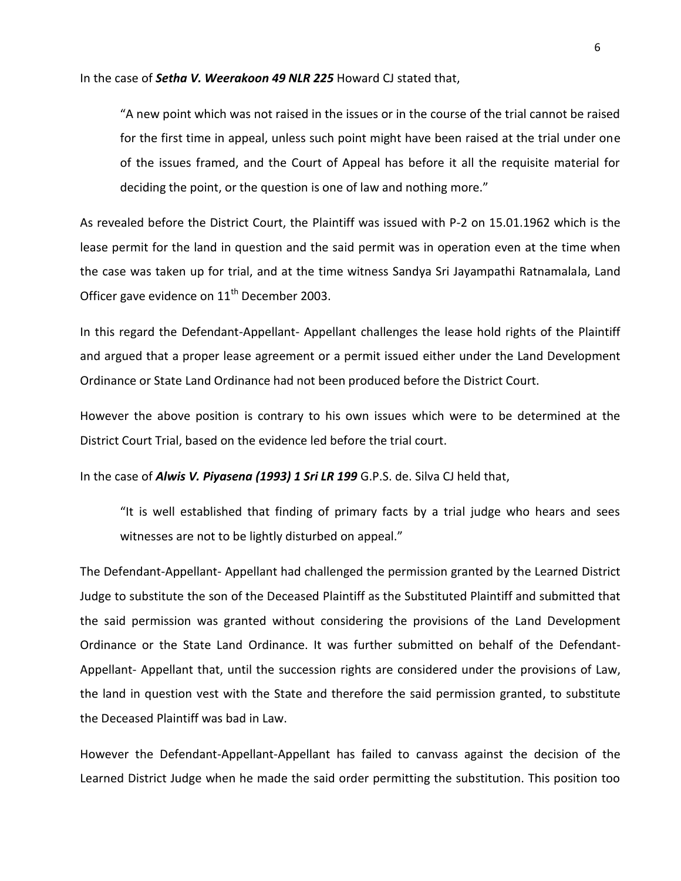In the case of *Setha V. Weerakoon 49 NLR 225* Howard CJ stated that,

"A new point which was not raised in the issues or in the course of the trial cannot be raised for the first time in appeal, unless such point might have been raised at the trial under one of the issues framed, and the Court of Appeal has before it all the requisite material for deciding the point, or the question is one of law and nothing more."

As revealed before the District Court, the Plaintiff was issued with P-2 on 15.01.1962 which is the lease permit for the land in question and the said permit was in operation even at the time when the case was taken up for trial, and at the time witness Sandya Sri Jayampathi Ratnamalala, Land Officer gave evidence on 11<sup>th</sup> December 2003.

In this regard the Defendant-Appellant- Appellant challenges the lease hold rights of the Plaintiff and argued that a proper lease agreement or a permit issued either under the Land Development Ordinance or State Land Ordinance had not been produced before the District Court.

However the above position is contrary to his own issues which were to be determined at the District Court Trial, based on the evidence led before the trial court.

In the case of *Alwis V. Piyasena (1993) 1 Sri LR 199* G.P.S. de. Silva CJ held that,

"It is well established that finding of primary facts by a trial judge who hears and sees witnesses are not to be lightly disturbed on appeal."

The Defendant-Appellant- Appellant had challenged the permission granted by the Learned District Judge to substitute the son of the Deceased Plaintiff as the Substituted Plaintiff and submitted that the said permission was granted without considering the provisions of the Land Development Ordinance or the State Land Ordinance. It was further submitted on behalf of the Defendant-Appellant- Appellant that, until the succession rights are considered under the provisions of Law, the land in question vest with the State and therefore the said permission granted, to substitute the Deceased Plaintiff was bad in Law.

However the Defendant-Appellant-Appellant has failed to canvass against the decision of the Learned District Judge when he made the said order permitting the substitution. This position too